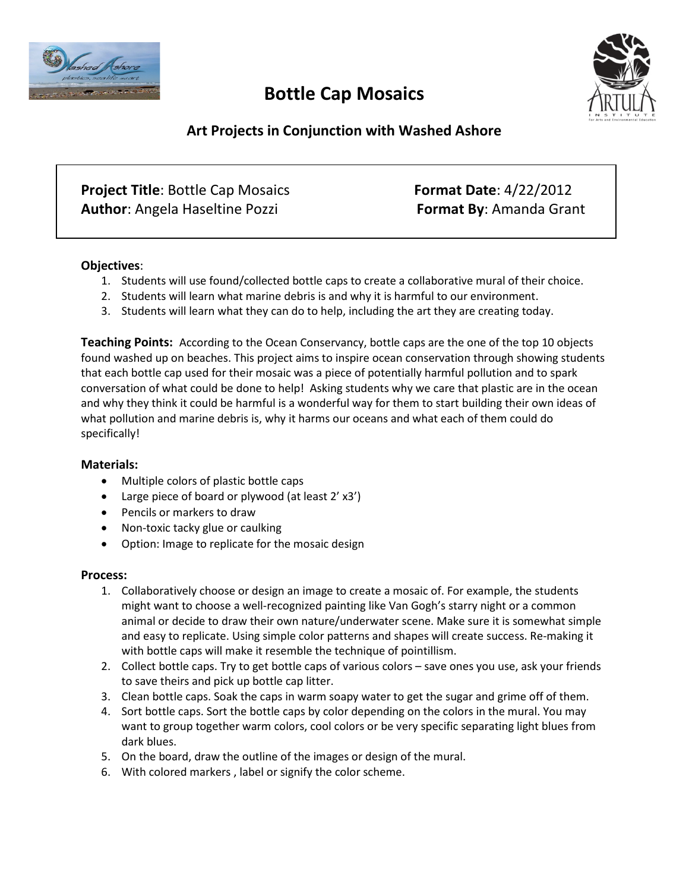

# **Bottle Cap Mosaics**



## **Art Projects in Conjunction with Washed Ashore**

| <b>Project Title: Bottle Cap Mosaics</b> | <b>Format Date: 4/22/2012</b>  |
|------------------------------------------|--------------------------------|
| <b>Author:</b> Angela Haseltine Pozzi    | <b>Format By: Amanda Grant</b> |

#### **Objectives**:

- 1. Students will use found/collected bottle caps to create a collaborative mural of their choice.
- 2. Students will learn what marine debris is and why it is harmful to our environment.
- 3. Students will learn what they can do to help, including the art they are creating today.

**Teaching Points:** According to the Ocean Conservancy, bottle caps are the one of the top 10 objects found washed up on beaches. This project aims to inspire ocean conservation through showing students that each bottle cap used for their mosaic was a piece of potentially harmful pollution and to spark conversation of what could be done to help! Asking students why we care that plastic are in the ocean and why they think it could be harmful is a wonderful way for them to start building their own ideas of what pollution and marine debris is, why it harms our oceans and what each of them could do specifically!

#### **Materials:**

- Multiple colors of plastic bottle caps
- Large piece of board or plywood (at least 2' x3')
- Pencils or markers to draw
- Non-toxic tacky glue or caulking
- Option: Image to replicate for the mosaic design

#### **Process:**

- 1. Collaboratively choose or design an image to create a mosaic of. For example, the students might want to choose a well-recognized painting like Van Gogh's starry night or a common animal or decide to draw their own nature/underwater scene. Make sure it is somewhat simple and easy to replicate. Using simple color patterns and shapes will create success. Re-making it with bottle caps will make it resemble the technique of pointillism.
- 2. Collect bottle caps. Try to get bottle caps of various colors save ones you use, ask your friends to save theirs and pick up bottle cap litter.
- 3. Clean bottle caps. Soak the caps in warm soapy water to get the sugar and grime off of them.
- 4. Sort bottle caps. Sort the bottle caps by color depending on the colors in the mural. You may want to group together warm colors, cool colors or be very specific separating light blues from dark blues.
- 5. On the board, draw the outline of the images or design of the mural.
- 6. With colored markers , label or signify the color scheme.